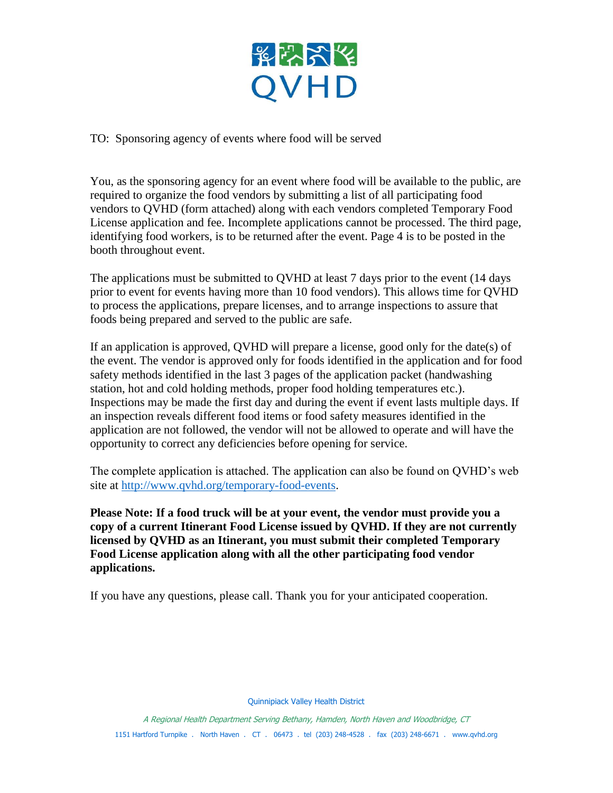

TO: Sponsoring agency of events where food will be served

You, as the sponsoring agency for an event where food will be available to the public, are required to organize the food vendors by submitting a list of all participating food vendors to QVHD (form attached) along with each vendors completed Temporary Food License application and fee. Incomplete applications cannot be processed. The third page, identifying food workers, is to be returned after the event. Page 4 is to be posted in the booth throughout event.

The applications must be submitted to QVHD at least 7 days prior to the event (14 days prior to event for events having more than 10 food vendors). This allows time for QVHD to process the applications, prepare licenses, and to arrange inspections to assure that foods being prepared and served to the public are safe.

If an application is approved, QVHD will prepare a license, good only for the date(s) of the event. The vendor is approved only for foods identified in the application and for food safety methods identified in the last 3 pages of the application packet (handwashing station, hot and cold holding methods, proper food holding temperatures etc.). Inspections may be made the first day and during the event if event lasts multiple days. If an inspection reveals different food items or food safety measures identified in the application are not followed, the vendor will not be allowed to operate and will have the opportunity to correct any deficiencies before opening for service.

The complete application is attached. The application can also be found on QVHD's web site at [http://www.qvhd.org/temporary-food-events.](http://www.qvhd.org/temporary-food-events)

**Please Note: If a food truck will be at your event, the vendor must provide you a copy of a current Itinerant Food License issued by QVHD. If they are not currently licensed by QVHD as an Itinerant, you must submit their completed Temporary Food License application along with all the other participating food vendor applications.**

If you have any questions, please call. Thank you for your anticipated cooperation.

Quinnipiack Valley Health District

A Regional Health Department Serving Bethany, Hamden, North Haven and Woodbridge, CT 1151 Hartford Turnpike . North Haven . CT . 06473 . tel (203) 248-4528 . fax (203) 248-6671 . www.qvhd.org